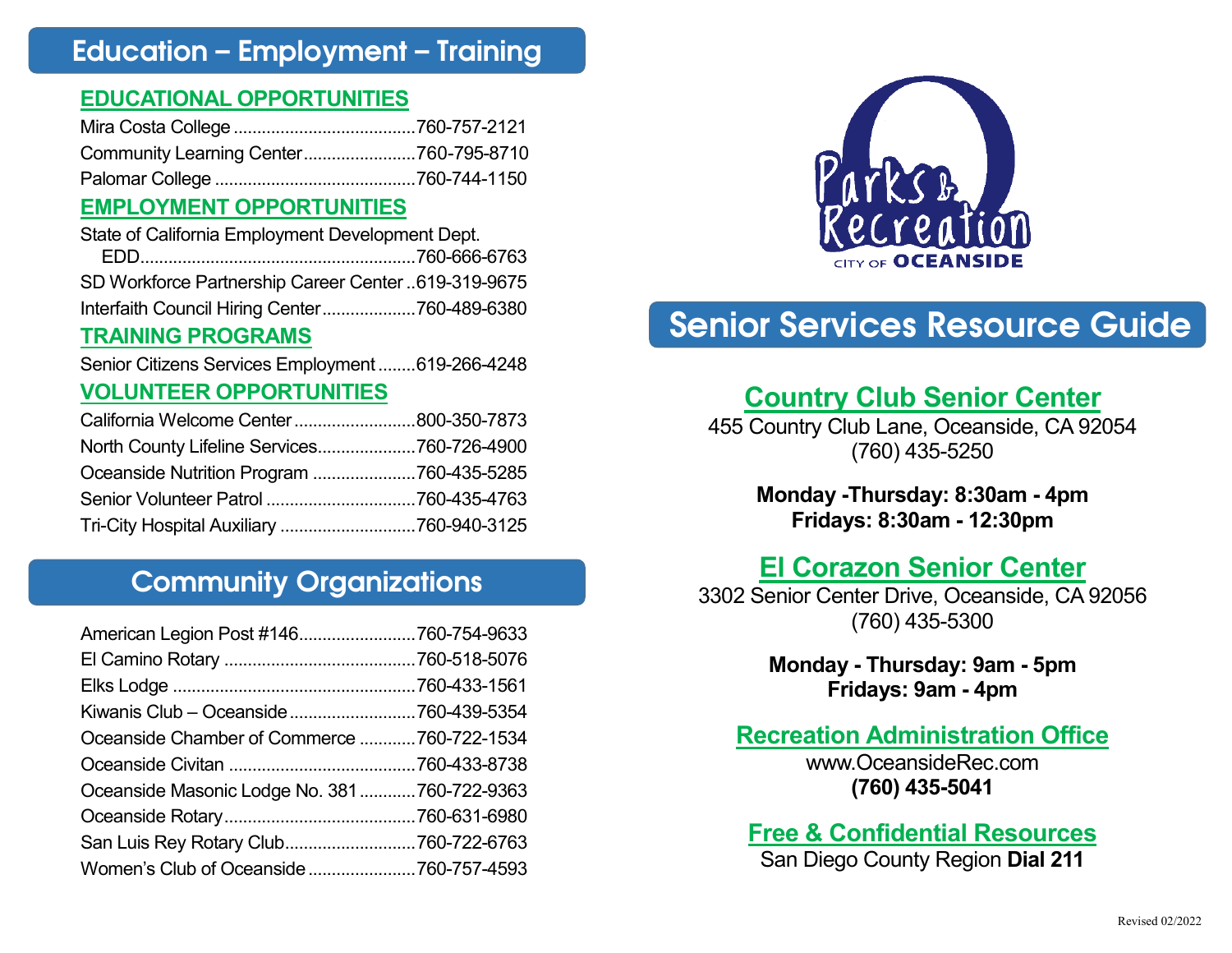### Education – Employment – Training

#### **EDUCATIONAL OPPORTUNITIES**

| Community Learning Center760-795-8710 |  |
|---------------------------------------|--|
|                                       |  |

#### **EMPLOYMENT OPPORTUNITIES**

| State of California Employment Development Dept. |                                                     |
|--------------------------------------------------|-----------------------------------------------------|
|                                                  |                                                     |
|                                                  | SD Workforce Partnership Career Center 619-319-9675 |

# Interfaith Council Hiring Center....................760-489-6380

#### **TRAINING PROGRAMS**

Senior Citizens Services Employment........619-266-4248

#### **VOLUNTEER OPPORTUNITIES**

| California Welcome Center800-350-7873      |  |
|--------------------------------------------|--|
| North County Lifeline Services760-726-4900 |  |
| Oceanside Nutrition Program 760-435-5285   |  |
|                                            |  |
|                                            |  |

### Community Organizations

| American Legion Post #146760-754-9633       |  |
|---------------------------------------------|--|
|                                             |  |
|                                             |  |
| Kiwanis Club - Oceanside 760-439-5354       |  |
| Oceanside Chamber of Commerce 760-722-1534  |  |
|                                             |  |
| Oceanside Masonic Lodge No. 381760-722-9363 |  |
|                                             |  |
| San Luis Rey Rotary Club760-722-6763        |  |
| Women's Club of Oceanside760-757-4593       |  |



# Senior Services Resource Guide

### **Country Club Senior Center**

455 Country Club Lane, Oceanside, CA 92054 (760) 435-5250

> **Monday -Thursday: 8:30am - 4pm Fridays: 8:30am - 12:30pm**

### **El Corazon Senior Center**

3302 Senior Center Drive, Oceanside, CA 92056 (760) 435-5300

> **Monday - Thursday: 9am - 5pm Fridays: 9am - 4pm**

#### **Recreation Administration Office**

www.OceansideRec.com **(760) 435-5041**

#### **Free & Confidential Resources** San Diego County Region **Dial 211**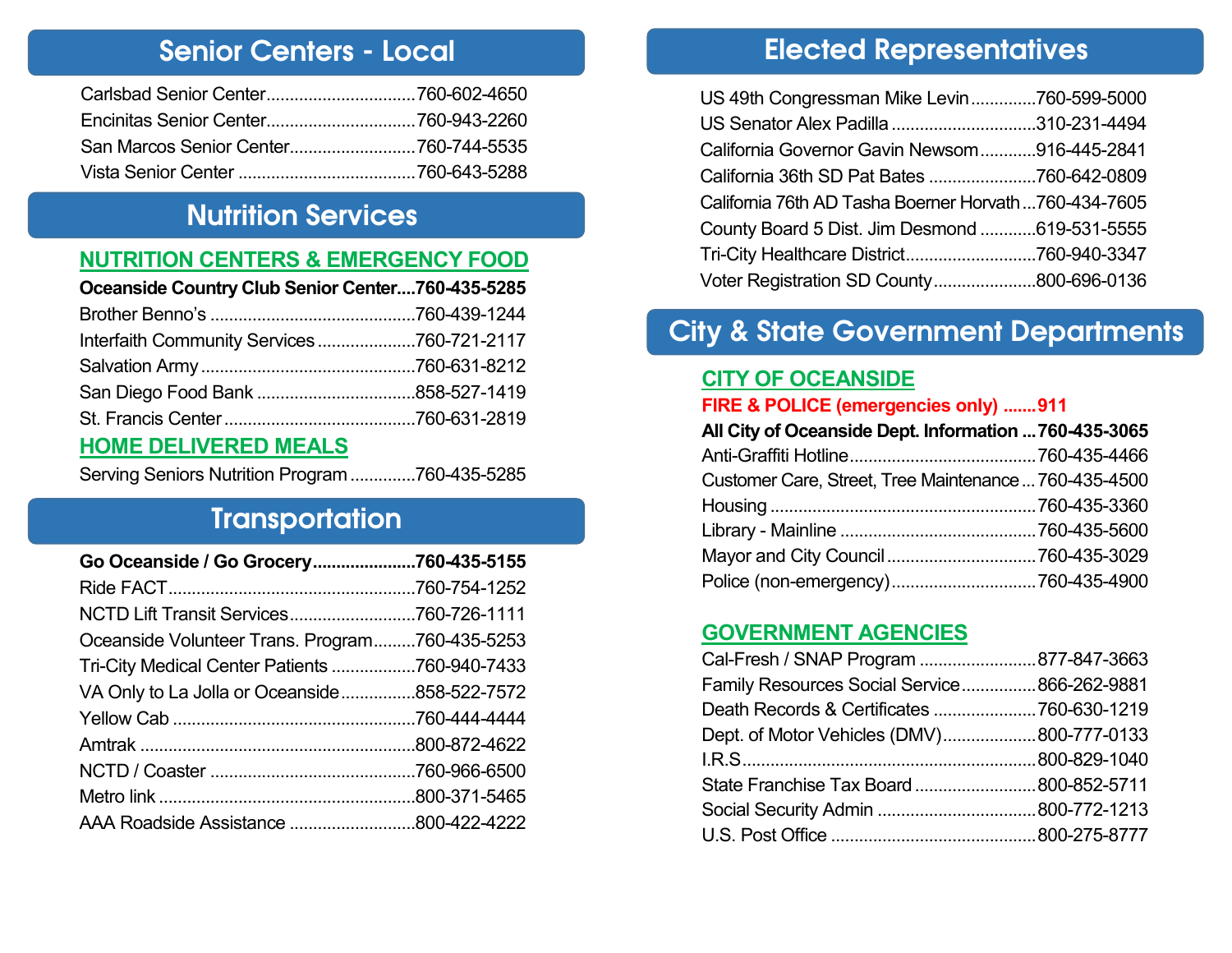### Senior Centers - Local

### Nutrition Services

#### **NUTRITION CENTERS & EMERGENCY FOOD**

### **Oceanside Country Club Senior Center....760-435-5285**

| Interfaith Community Services760-721-2117 |  |
|-------------------------------------------|--|
|                                           |  |
|                                           |  |
|                                           |  |
|                                           |  |

#### **HOME DELIVERED MEALS**

Serving Seniors Nutrition Program..............760-435-5285

# **Transportation**

| Go Oceanside / Go Grocery760-435-5155          |  |
|------------------------------------------------|--|
|                                                |  |
| NCTD Lift Transit Services760-726-1111         |  |
| Oceanside Volunteer Trans. Program760-435-5253 |  |
| Tri-City Medical Center Patients 760-940-7433  |  |
| VA Only to La Jolla or Oceanside858-522-7572   |  |
|                                                |  |
|                                                |  |
|                                                |  |
|                                                |  |
| AAA Roadside Assistance 800-422-4222           |  |

# Elected Representatives

| US 49th Congressman Mike Levin760-599-5000           |  |
|------------------------------------------------------|--|
| US Senator Alex Padilla 310-231-4494                 |  |
| California Governor Gavin Newsom916-445-2841         |  |
| California 36th SD Pat Bates 760-642-0809            |  |
| California 76th AD Tasha Boerner Horvath760-434-7605 |  |
| County Board 5 Dist. Jim Desmond 619-531-5555        |  |
|                                                      |  |
| Voter Registration SD County800-696-0136             |  |

# City & State Government Departments

#### **CITY OF OCEANSIDE**

#### **FIRE & POLICE (emergencies only) .......911**

| All City of Oceanside Dept. Information  760-435-3065 |  |
|-------------------------------------------------------|--|
|                                                       |  |
| Customer Care, Street, Tree Maintenance  760-435-4500 |  |
|                                                       |  |
|                                                       |  |
|                                                       |  |
|                                                       |  |

#### **GOVERNMENT AGENCIES**

| Cal-Fresh / SNAP Program 877-847-3663       |  |
|---------------------------------------------|--|
| Family Resources Social Service866-262-9881 |  |
| Death Records & Certificates 760-630-1219   |  |
| Dept. of Motor Vehicles (DMV)800-777-0133   |  |
|                                             |  |
| State Franchise Tax Board  800-852-5711     |  |
|                                             |  |
|                                             |  |
|                                             |  |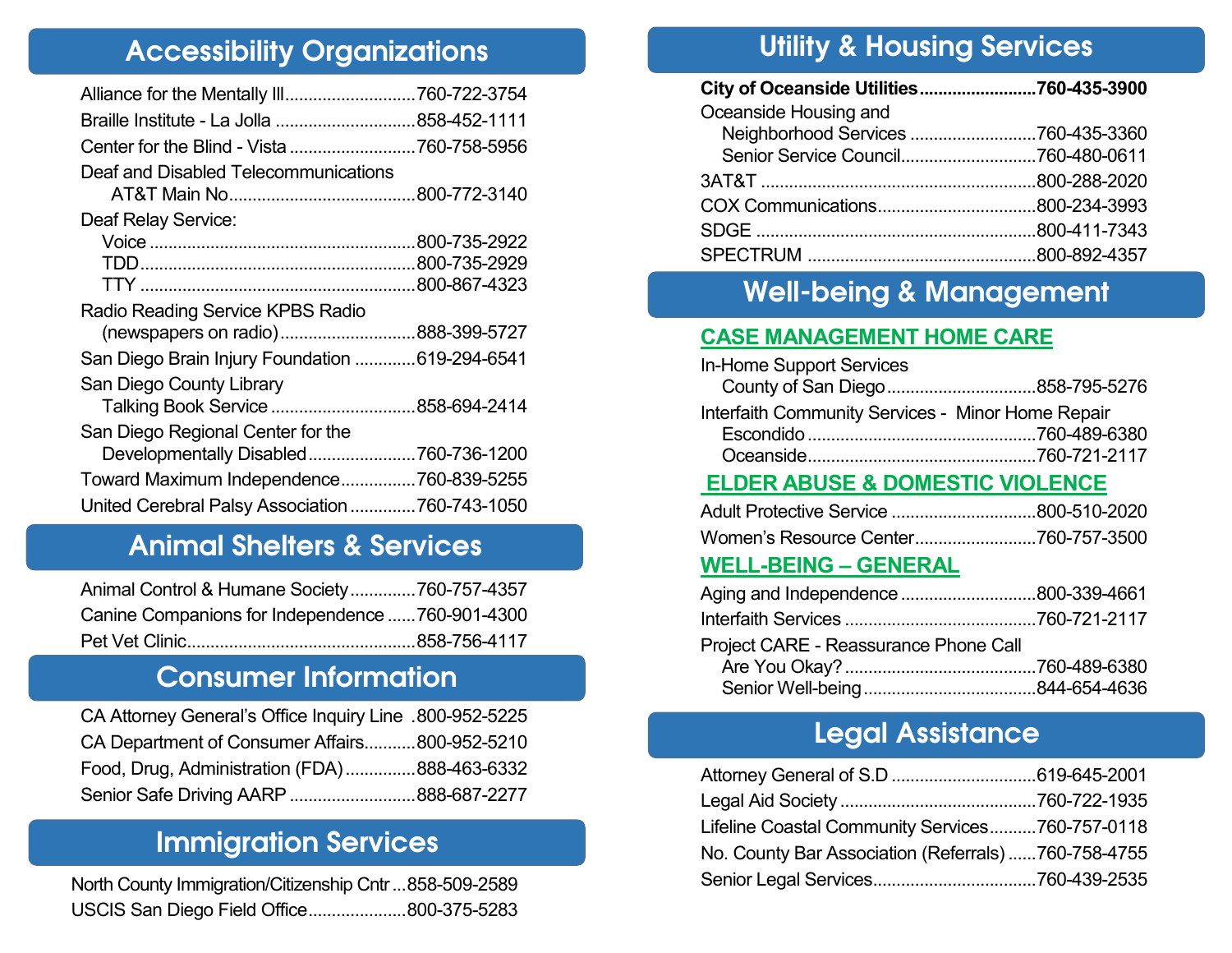# Accessibility Organizations

| Braille Institute - La Jolla 858-452-1111       |
|-------------------------------------------------|
| Center for the Blind - Vista 760-758-5956       |
|                                                 |
|                                                 |
|                                                 |
|                                                 |
|                                                 |
|                                                 |
|                                                 |
| (newspapers on radio)888-399-5727               |
| San Diego Brain Injury Foundation  619-294-6541 |
|                                                 |
| Talking Book Service 858-694-2414               |
|                                                 |
| Developmentally Disabled760-736-1200            |
| Toward Maximum Independence760-839-5255         |
| United Cerebral Palsy Association 760-743-1050  |
|                                                 |

# Animal Shelters & Services

| Animal Control & Humane Society760-757-4357     |  |
|-------------------------------------------------|--|
| Canine Companions for Independence 760-901-4300 |  |
|                                                 |  |

# Consumer Information

| CA Attorney General's Office Inquiry Line .800-952-5225 |  |
|---------------------------------------------------------|--|
| CA Department of Consumer Affairs800-952-5210           |  |
| Food, Drug, Administration (FDA)888-463-6332            |  |
| Senior Safe Driving AARP 888-687-2277                   |  |

## Immigration Services

| North County Immigration/Citizenship Cntr 858-509-2589 |  |
|--------------------------------------------------------|--|
| USCIS San Diego Field Office800-375-5283               |  |

# Utility & Housing Services

| City of Oceanside Utilities760-435-3900 |  |
|-----------------------------------------|--|
| Oceanside Housing and                   |  |
| Neighborhood Services 760-435-3360      |  |
|                                         |  |
|                                         |  |
|                                         |  |
|                                         |  |
|                                         |  |

# Well-being & Management

#### **CASE MANAGEMENT HOME CARE**

| In-Home Support Services                          |  |
|---------------------------------------------------|--|
|                                                   |  |
| Interfaith Community Services - Minor Home Repair |  |
|                                                   |  |
|                                                   |  |

#### **ELDER ABUSE & DOMESTIC VIOLENCE**

#### **WELL-BEING – GENERAL**

| Project CARE - Reassurance Phone Call |  |
|---------------------------------------|--|
|                                       |  |
|                                       |  |

# Legal Assistance

| Lifeline Coastal Community Services760-757-0118     |  |
|-----------------------------------------------------|--|
| No. County Bar Association (Referrals) 760-758-4755 |  |
|                                                     |  |